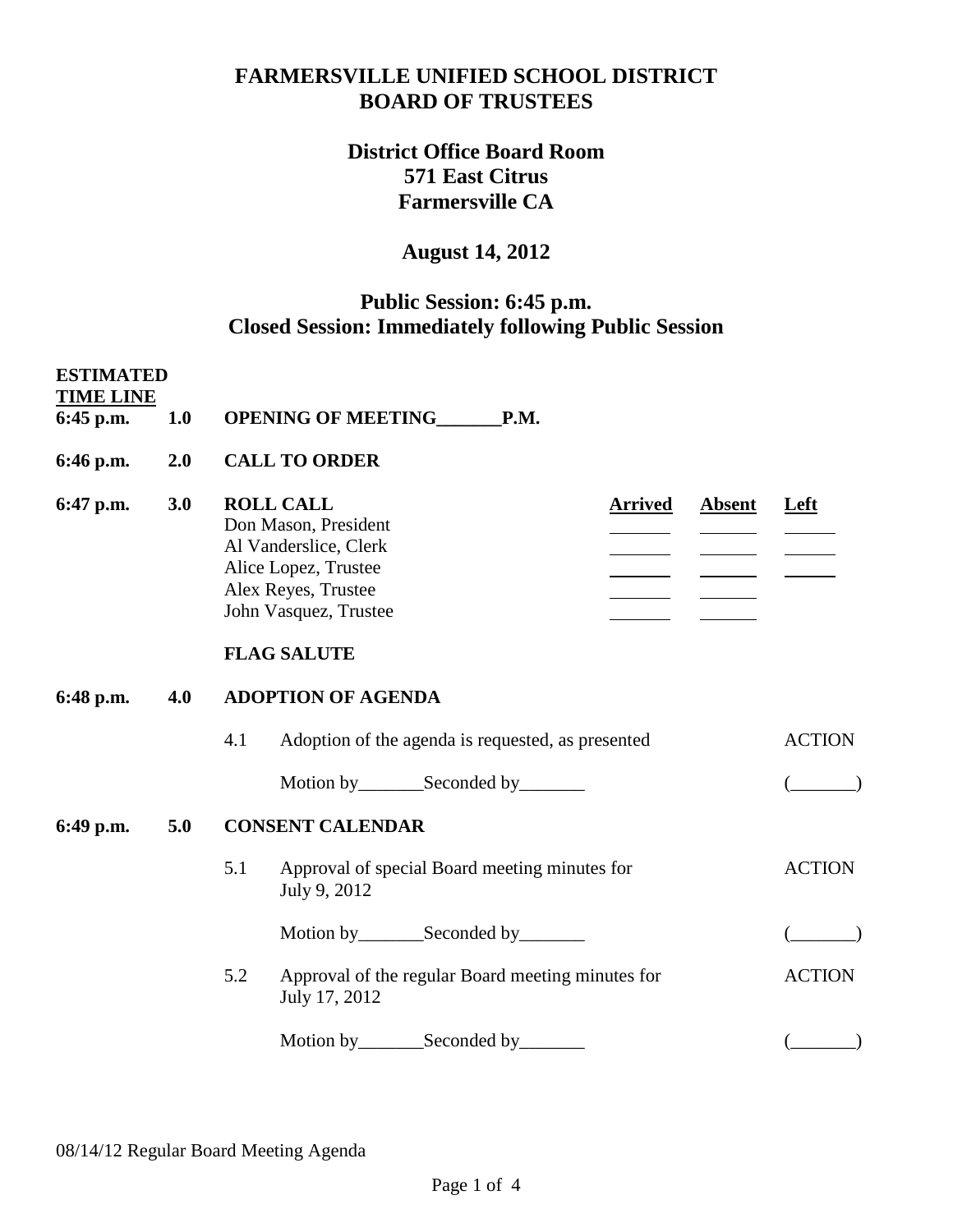## **FARMERSVILLE UNIFIED SCHOOL DISTRICT BOARD OF TRUSTEES**

## **District Office Board Room 571 East Citrus Farmersville CA**

## **August 14, 2012**

## **Public Session: 6:45 p.m. Closed Session: Immediately following Public Session**

| <b>ESTIMATED</b><br><b>TIME LINE</b> |                                                                                                                                                                                                           |                                                                           |               |  |  |
|--------------------------------------|-----------------------------------------------------------------------------------------------------------------------------------------------------------------------------------------------------------|---------------------------------------------------------------------------|---------------|--|--|
| 6:45 p.m.                            | 1.0                                                                                                                                                                                                       | OPENING OF MEETING P.M.                                                   |               |  |  |
| 6:46 p.m.                            | 2.0                                                                                                                                                                                                       | <b>CALL TO ORDER</b>                                                      |               |  |  |
| 6:47 p.m.                            | <b>ROLL CALL</b><br>3.0<br><b>Absent</b><br><b>Arrived</b><br>Don Mason, President<br>Al Vanderslice, Clerk<br>Alice Lopez, Trustee<br>Alex Reyes, Trustee<br>John Vasquez, Trustee<br><b>FLAG SALUTE</b> |                                                                           |               |  |  |
| 6:48 p.m.                            | 4.0                                                                                                                                                                                                       | <b>ADOPTION OF AGENDA</b>                                                 |               |  |  |
|                                      |                                                                                                                                                                                                           | Adoption of the agenda is requested, as presented<br>4.1                  | <b>ACTION</b> |  |  |
|                                      |                                                                                                                                                                                                           |                                                                           |               |  |  |
| 6:49 p.m.                            | 5.0                                                                                                                                                                                                       | <b>CONSENT CALENDAR</b>                                                   |               |  |  |
|                                      |                                                                                                                                                                                                           | 5.1<br>Approval of special Board meeting minutes for<br>July 9, 2012      | <b>ACTION</b> |  |  |
|                                      |                                                                                                                                                                                                           | Motion by__________Seconded by__________                                  |               |  |  |
|                                      |                                                                                                                                                                                                           | 5.2<br>Approval of the regular Board meeting minutes for<br>July 17, 2012 | <b>ACTION</b> |  |  |
|                                      |                                                                                                                                                                                                           |                                                                           |               |  |  |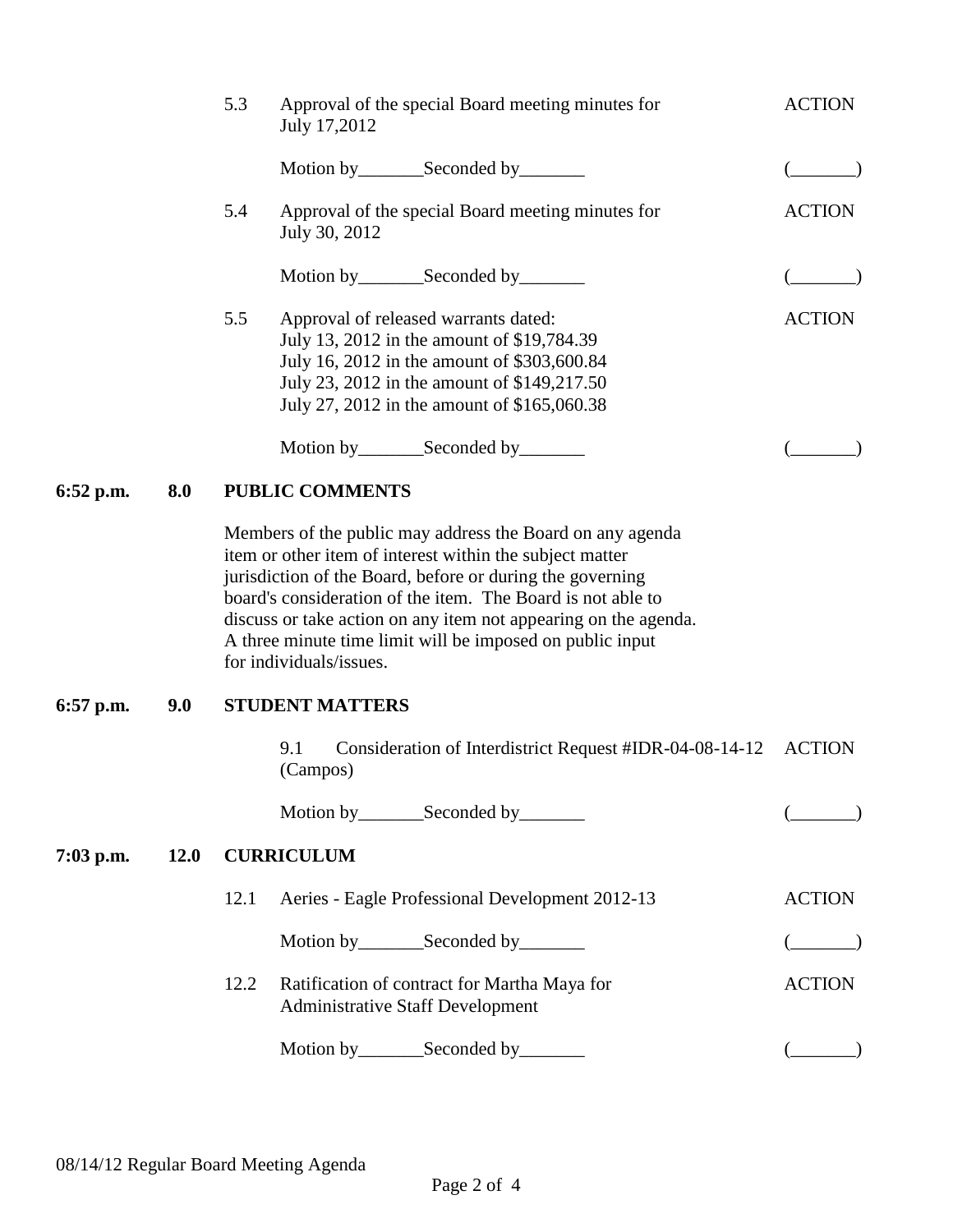|           |      | 5.3                    | Approval of the special Board meeting minutes for<br>July 17,2012                                                                                                                                                                                                                                                                                                                                            | <b>ACTION</b> |  |  |  |
|-----------|------|------------------------|--------------------------------------------------------------------------------------------------------------------------------------------------------------------------------------------------------------------------------------------------------------------------------------------------------------------------------------------------------------------------------------------------------------|---------------|--|--|--|
|           |      |                        |                                                                                                                                                                                                                                                                                                                                                                                                              |               |  |  |  |
|           |      | 5.4                    | Approval of the special Board meeting minutes for<br>July 30, 2012                                                                                                                                                                                                                                                                                                                                           | <b>ACTION</b> |  |  |  |
|           |      |                        | Motion by________Seconded by_______                                                                                                                                                                                                                                                                                                                                                                          |               |  |  |  |
|           |      | 5.5                    | Approval of released warrants dated:<br>July 13, 2012 in the amount of \$19,784.39<br>July 16, 2012 in the amount of \$303,600.84<br>July 23, 2012 in the amount of \$149,217.50<br>July 27, 2012 in the amount of \$165,060.38                                                                                                                                                                              | <b>ACTION</b> |  |  |  |
|           |      |                        | Motion by__________Seconded by_________                                                                                                                                                                                                                                                                                                                                                                      |               |  |  |  |
| 6:52 p.m. | 8.0  |                        | <b>PUBLIC COMMENTS</b>                                                                                                                                                                                                                                                                                                                                                                                       |               |  |  |  |
|           |      |                        | Members of the public may address the Board on any agenda<br>item or other item of interest within the subject matter<br>jurisdiction of the Board, before or during the governing<br>board's consideration of the item. The Board is not able to<br>discuss or take action on any item not appearing on the agenda.<br>A three minute time limit will be imposed on public input<br>for individuals/issues. |               |  |  |  |
| 6:57 p.m. | 9.0  | <b>STUDENT MATTERS</b> |                                                                                                                                                                                                                                                                                                                                                                                                              |               |  |  |  |
|           |      |                        | Consideration of Interdistrict Request #IDR-04-08-14-12<br>9.1<br>(Campos)                                                                                                                                                                                                                                                                                                                                   | <b>ACTION</b> |  |  |  |
|           |      |                        | Motion by__________Seconded by__________                                                                                                                                                                                                                                                                                                                                                                     |               |  |  |  |
| 7:03 p.m. | 12.0 | <b>CURRICULUM</b>      |                                                                                                                                                                                                                                                                                                                                                                                                              |               |  |  |  |
|           |      | 12.1                   | Aeries - Eagle Professional Development 2012-13                                                                                                                                                                                                                                                                                                                                                              | <b>ACTION</b> |  |  |  |
|           |      |                        | Motion by __________ Seconded by _________                                                                                                                                                                                                                                                                                                                                                                   |               |  |  |  |
|           |      | 12.2                   | Ratification of contract for Martha Maya for<br><b>Administrative Staff Development</b>                                                                                                                                                                                                                                                                                                                      | <b>ACTION</b> |  |  |  |
|           |      |                        | Motion by __________ Seconded by _________                                                                                                                                                                                                                                                                                                                                                                   |               |  |  |  |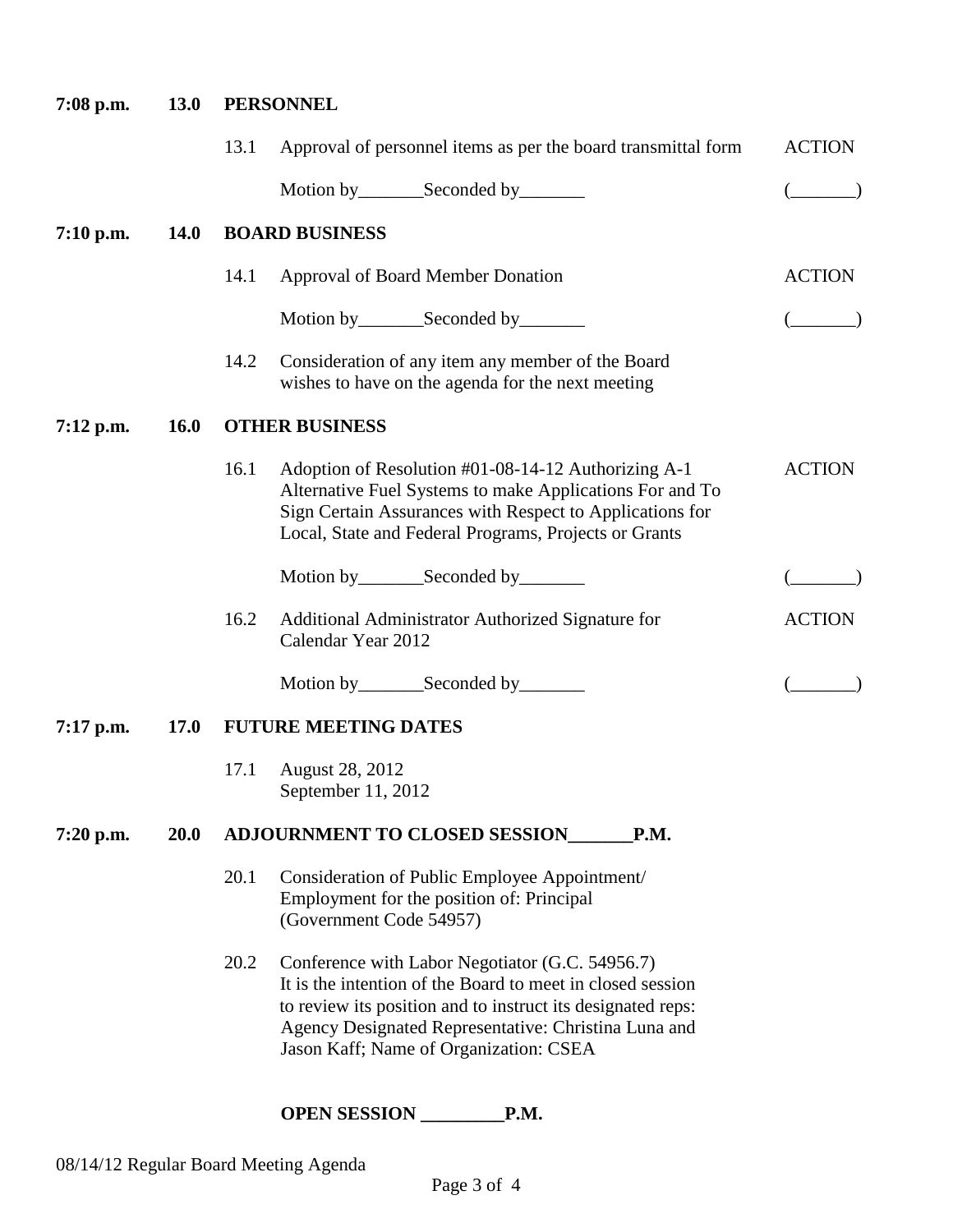| $7:08$ p.m. | <b>13.0</b> | <b>PERSONNEL</b>      |                                                                                                                                                                                                                                                                                |               |  |  |
|-------------|-------------|-----------------------|--------------------------------------------------------------------------------------------------------------------------------------------------------------------------------------------------------------------------------------------------------------------------------|---------------|--|--|
|             |             | 13.1                  | Approval of personnel items as per the board transmittal form                                                                                                                                                                                                                  | <b>ACTION</b> |  |  |
|             |             |                       | Motion by__________Seconded by__________                                                                                                                                                                                                                                       |               |  |  |
| $7:10$ p.m. | <b>14.0</b> | <b>BOARD BUSINESS</b> |                                                                                                                                                                                                                                                                                |               |  |  |
|             |             | 14.1                  | <b>Approval of Board Member Donation</b>                                                                                                                                                                                                                                       | <b>ACTION</b> |  |  |
|             |             |                       | Motion by __________ Seconded by _________                                                                                                                                                                                                                                     |               |  |  |
|             |             | 14.2                  | Consideration of any item any member of the Board<br>wishes to have on the agenda for the next meeting                                                                                                                                                                         |               |  |  |
| $7:12$ p.m. | <b>16.0</b> | <b>OTHER BUSINESS</b> |                                                                                                                                                                                                                                                                                |               |  |  |
|             |             | 16.1                  | Adoption of Resolution #01-08-14-12 Authorizing A-1<br>Alternative Fuel Systems to make Applications For and To<br>Sign Certain Assurances with Respect to Applications for<br>Local, State and Federal Programs, Projects or Grants                                           | <b>ACTION</b> |  |  |
|             |             |                       | Motion by________Seconded by________                                                                                                                                                                                                                                           |               |  |  |
|             |             | 16.2                  | Additional Administrator Authorized Signature for<br>Calendar Year 2012                                                                                                                                                                                                        | <b>ACTION</b> |  |  |
|             |             |                       |                                                                                                                                                                                                                                                                                |               |  |  |
| $7:17$ p.m. | <b>17.0</b> |                       | <b>FUTURE MEETING DATES</b>                                                                                                                                                                                                                                                    |               |  |  |
|             |             | 17.1                  | August 28, 2012<br>September 11, 2012                                                                                                                                                                                                                                          |               |  |  |
| $7:20$ p.m. | <b>20.0</b> |                       | <b>ADJOURNMENT TO CLOSED SESSION</b><br>P.M.                                                                                                                                                                                                                                   |               |  |  |
|             |             | 20.1                  | Consideration of Public Employee Appointment/<br>Employment for the position of: Principal<br>(Government Code 54957)                                                                                                                                                          |               |  |  |
|             |             | 20.2                  | Conference with Labor Negotiator (G.C. 54956.7)<br>It is the intention of the Board to meet in closed session<br>to review its position and to instruct its designated reps:<br>Agency Designated Representative: Christina Luna and<br>Jason Kaff; Name of Organization: CSEA |               |  |  |
|             |             |                       | <b>OPEN SESSION</b><br>P.M.                                                                                                                                                                                                                                                    |               |  |  |